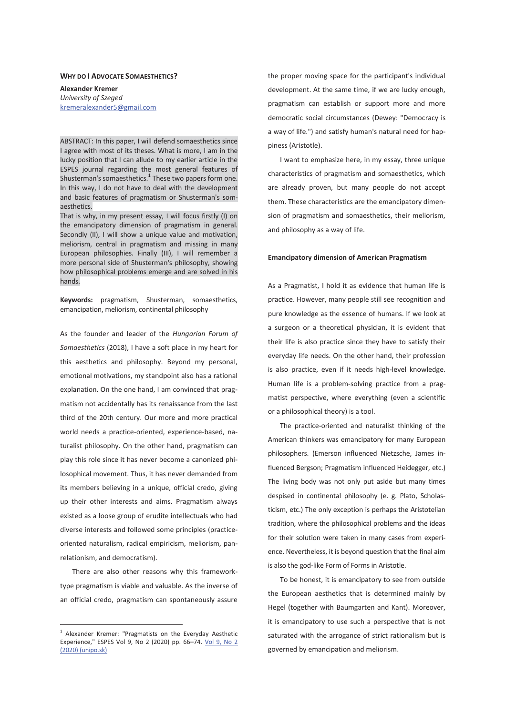#### **WHY DO I ADVOCATE SOMAESTHETICS?**

**Alexander Kremer**  *University of Szeged*  kremeralexander5@gmail.com

ABSTRACT: In this paper, I will defend somaesthetics since I agree with most of its theses. What is more, I am in the lucky position that I can allude to my earlier article in the ESPES journal regarding the most general features of Shusterman's somaesthetics. $^{1}$  These two papers form one. In this way, I do not have to deal with the development and basic features of pragmatism or Shusterman's somaesthetics.

That is why, in my present essay, I will focus firstly (I) on the emancipatory dimension of pragmatism in general. Secondly (II), I will show a unique value and motivation, meliorism, central in pragmatism and missing in many European philosophies. Finally (III), I will remember a more personal side of Shusterman's philosophy, showing how philosophical problems emerge and are solved in his hands.

**Keywords:** pragmatism, Shusterman, somaesthetics, emancipation, meliorism, continental philosophy

As the founder and leader of the *Hungarian Forum of Somaesthetics* (2018), I have a soft place in my heart for this aesthetics and philosophy. Beyond my personal, emotional motivations, my standpoint also has a rational explanation. On the one hand, I am convinced that pragmatism not accidentally has its renaissance from the last third of the 20th century. Our more and more practical world needs a practice-oriented, experience-based, naturalist philosophy. On the other hand, pragmatism can play this role since it has never become a canonized philosophical movement. Thus, it has never demanded from its members believing in a unique, official credo, giving up their other interests and aims. Pragmatism always existed as a loose group of erudite intellectuals who had diverse interests and followed some principles (practiceoriented naturalism, radical empiricism, meliorism, panrelationism, and democratism).

There are also other reasons why this frameworktype pragmatism is viable and valuable. As the inverse of an official credo, pragmatism can spontaneously assure

 $\overline{a}$ 

the proper moving space for the participant's individual development. At the same time, if we are lucky enough, pragmatism can establish or support more and more democratic social circumstances (Dewey: "Democracy is a way of life.") and satisfy human's natural need for happiness (Aristotle).

I want to emphasize here, in my essay, three unique characteristics of pragmatism and somaesthetics, which are already proven, but many people do not accept them. These characteristics are the emancipatory dimension of pragmatism and somaesthetics, their meliorism, and philosophy as a way of life.

## **Emancipatory dimension of American Pragmatism**

As a Pragmatist, I hold it as evidence that human life is practice. However, many people still see recognition and pure knowledge as the essence of humans. If we look at a surgeon or a theoretical physician, it is evident that their life is also practice since they have to satisfy their everyday life needs. On the other hand, their profession is also practice, even if it needs high-level knowledge. Human life is a problem-solving practice from a pragmatist perspective, where everything (even a scientific or a philosophical theory) is a tool.

The practice-oriented and naturalist thinking of the American thinkers was emancipatory for many European philosophers. (Emerson influenced Nietzsche, James influenced Bergson; Pragmatism influenced Heidegger, etc.) The living body was not only put aside but many times despised in continental philosophy (e. g. Plato, Scholasticism, etc.) The only exception is perhaps the Aristotelian tradition, where the philosophical problems and the ideas for their solution were taken in many cases from experience. Nevertheless, it is beyond question that the final aim is also the god-like Form of Forms in Aristotle.

To be honest, it is emancipatory to see from outside the European aesthetics that is determined mainly by Hegel (together with Baumgarten and Kant). Moreover, it is emancipatory to use such a perspective that is not saturated with the arrogance of strict rationalism but is governed by emancipation and meliorism.

<sup>&</sup>lt;sup>1</sup> Alexander Kremer: "Pragmatists on the Everyday Aesthetic Experience," ESPES Vol 9, No 2 (2020) pp. 66-74. Vol 9, No 2 (2020) (unipo.sk)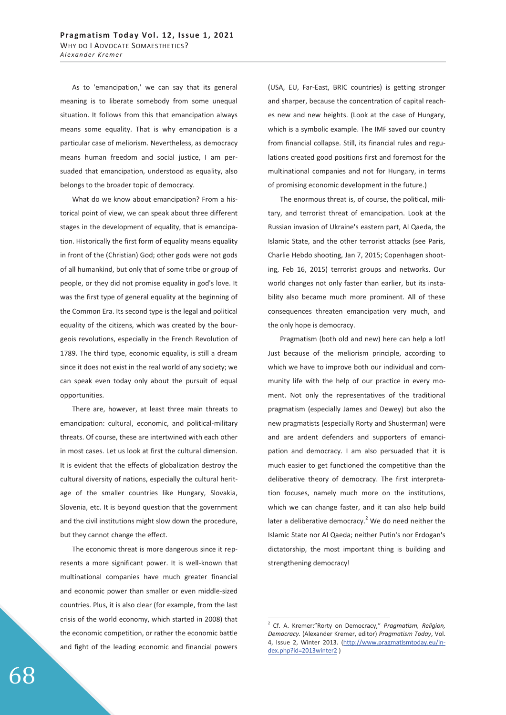As to 'emancipation,' we can say that its general meaning is to liberate somebody from some unequal situation. It follows from this that emancipation always means some equality. That is why emancipation is a particular case of meliorism. Nevertheless, as democracy means human freedom and social justice, I am persuaded that emancipation, understood as equality, also belongs to the broader topic of democracy.

What do we know about emancipation? From a historical point of view, we can speak about three different stages in the development of equality, that is emancipation. Historically the first form of equality means equality in front of the (Christian) God; other gods were not gods of all humankind, but only that of some tribe or group of people, or they did not promise equality in god's love. It was the first type of general equality at the beginning of the Common Era. Its second type is the legal and political equality of the citizens, which was created by the bourgeois revolutions, especially in the French Revolution of 1789. The third type, economic equality, is still a dream since it does not exist in the real world of any society; we can speak even today only about the pursuit of equal opportunities.

There are, however, at least three main threats to emancipation: cultural, economic, and political-military threats. Of course, these are intertwined with each other in most cases. Let us look at first the cultural dimension. It is evident that the effects of globalization destroy the cultural diversity of nations, especially the cultural heritage of the smaller countries like Hungary, Slovakia, Slovenia, etc. It is beyond question that the government and the civil institutions might slow down the procedure, but they cannot change the effect.

The economic threat is more dangerous since it represents a more significant power. It is well-known that multinational companies have much greater financial and economic power than smaller or even middle-sized countries. Plus, it is also clear (for example, from the last crisis of the world economy, which started in 2008) that the economic competition, or rather the economic battle and fight of the leading economic and financial powers

(USA, EU, Far-East, BRIC countries) is getting stronger and sharper, because the concentration of capital reaches new and new heights. (Look at the case of Hungary, which is a symbolic example. The IMF saved our country from financial collapse. Still, its financial rules and regulations created good positions first and foremost for the multinational companies and not for Hungary, in terms of promising economic development in the future.)

The enormous threat is, of course, the political, military, and terrorist threat of emancipation. Look at the Russian invasion of Ukraine's eastern part, Al Qaeda, the Islamic State, and the other terrorist attacks (see Paris, Charlie Hebdo shooting, Jan 7, 2015; Copenhagen shooting, Feb 16, 2015) terrorist groups and networks. Our world changes not only faster than earlier, but its instability also became much more prominent. All of these consequences threaten emancipation very much, and the only hope is democracy.

Pragmatism (both old and new) here can help a lot! Just because of the meliorism principle, according to which we have to improve both our individual and community life with the help of our practice in every moment. Not only the representatives of the traditional pragmatism (especially James and Dewey) but also the new pragmatists (especially Rorty and Shusterman) were and are ardent defenders and supporters of emancipation and democracy. I am also persuaded that it is much easier to get functioned the competitive than the deliberative theory of democracy. The first interpretation focuses, namely much more on the institutions, which we can change faster, and it can also help build later a deliberative democracy. $2$  We do need neither the Islamic State nor Al Qaeda; neither Putin's nor Erdogan's dictatorship, the most important thing is building and strengthening democracy!

-

<sup>2</sup> Cf. A. Kremer:"Rorty on Democracy," *Pragmatism, Religion, Democracy*. (Alexander Kremer, editor) *Pragmatism Today*, Vol. 4, Issue 2, Winter 2013. (http://www.pragmatismtoday.eu/index.php?id=2013winter2 )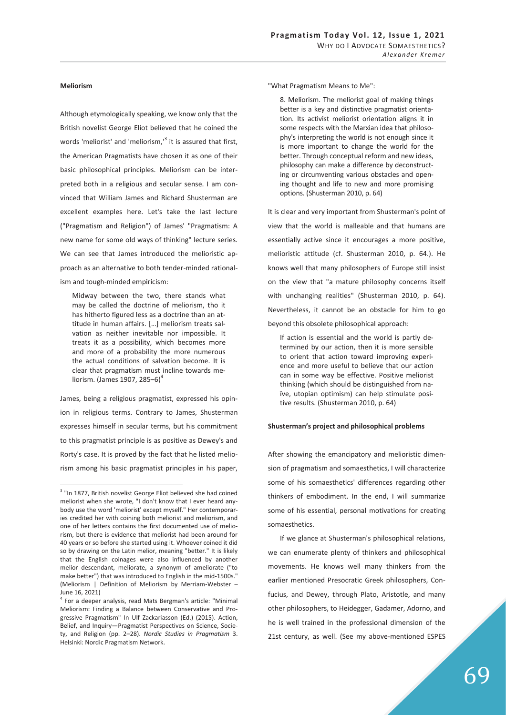### **Meliorism**

-

Although etymologically speaking, we know only that the British novelist George Eliot believed that he coined the words 'meliorist' and 'meliorism,'<sup>3</sup> it is assured that first, the American Pragmatists have chosen it as one of their basic philosophical principles. Meliorism can be interpreted both in a religious and secular sense. I am convinced that William James and Richard Shusterman are excellent examples here. Let's take the last lecture ("Pragmatism and Religion") of James' "Pragmatism: A new name for some old ways of thinking" lecture series. We can see that James introduced the melioristic approach as an alternative to both tender-minded rationalism and tough-minded empiricism:

Midway between the two, there stands what may be called the doctrine of meliorism, tho it has hitherto figured less as a doctrine than an attitude in human affairs. […] meliorism treats salvation as neither inevitable nor impossible. It treats it as a possibility, which becomes more and more of a probability the more numerous the actual conditions of salvation become. It is clear that pragmatism must incline towards meliorism. (James 1907, 285-6)<sup>4</sup>

James, being a religious pragmatist, expressed his opinion in religious terms. Contrary to James, Shusterman expresses himself in secular terms, but his commitment to this pragmatist principle is as positive as Dewey's and Rorty's case. It is proved by the fact that he listed meliorism among his basic pragmatist principles in his paper, "What Pragmatism Means to Me":

8. Meliorism. The meliorist goal of making things better is a key and distinctive pragmatist orientation. Its activist meliorist orientation aligns it in some respects with the Marxian idea that philosophy's interpreting the world is not enough since it is more important to change the world for the better. Through conceptual reform and new ideas, philosophy can make a difference by deconstructing or circumventing various obstacles and opening thought and life to new and more promising options. (Shusterman 2010, p. 64)

It is clear and very important from Shusterman's point of view that the world is malleable and that humans are essentially active since it encourages a more positive, melioristic attitude (cf. Shusterman 2010, p. 64.). He knows well that many philosophers of Europe still insist on the view that "a mature philosophy concerns itself with unchanging realities" (Shusterman 2010, p. 64). Nevertheless, it cannot be an obstacle for him to go beyond this obsolete philosophical approach:

If action is essential and the world is partly determined by our action, then it is more sensible to orient that action toward improving experience and more useful to believe that our action can in some way be effective. Positive meliorist thinking (which should be distinguished from naïve, utopian optimism) can help stimulate positive results. (Shusterman 2010, p. 64)

### **Shusterman's project and philosophical problems**

After showing the emancipatory and melioristic dimension of pragmatism and somaesthetics, I will characterize some of his somaesthetics' differences regarding other thinkers of embodiment. In the end, I will summarize some of his essential, personal motivations for creating somaesthetics.

If we glance at Shusterman's philosophical relations, we can enumerate plenty of thinkers and philosophical movements. He knows well many thinkers from the earlier mentioned Presocratic Greek philosophers, Confucius, and Dewey, through Plato, Aristotle, and many other philosophers, to Heidegger, Gadamer, Adorno, and he is well trained in the professional dimension of the 21st century, as well. (See my above-mentioned ESPES

<sup>&</sup>lt;sup>3</sup> "In 1877, British novelist George Eliot believed she had coined meliorist when she wrote, "I don't know that I ever heard anybody use the word 'meliorist' except myself." Her contemporaries credited her with coining both meliorist and meliorism, and one of her letters contains the first documented use of meliorism, but there is evidence that meliorist had been around for 40 years or so before she started using it. Whoever coined it did so by drawing on the Latin melior, meaning "better." It is likely that the English coinages were also influenced by another melior descendant, meliorate, a synonym of ameliorate ("to make better") that was introduced to English in the mid-1500s." (Meliorism | Definition of Meliorism by Merriam-Webster – June 16, 2021)

<sup>4</sup> For a deeper analysis, read Mats Bergman's article: "Minimal Meliorism: Finding a Balance between Conservative and Progressive Pragmatism" In Ulf Zackariasson (Ed.) (2015). Action, Belief, and Inquiry—Pragmatist Perspectives on Science, Society, and Religion (pp. 2–28). *Nordic Studies in Pragmatism* 3. Helsinki: Nordic Pragmatism Network.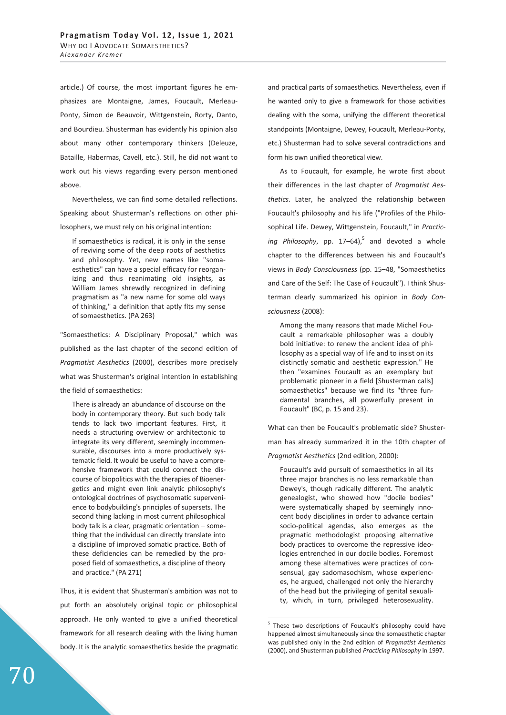article.) Of course, the most important figures he emphasizes are Montaigne, James, Foucault, Merleau-Ponty, Simon de Beauvoir, Wittgenstein, Rorty, Danto, and Bourdieu. Shusterman has evidently his opinion also about many other contemporary thinkers (Deleuze, Bataille, Habermas, Cavell, etc.). Still, he did not want to work out his views regarding every person mentioned above.

Nevertheless, we can find some detailed reflections. Speaking about Shusterman's reflections on other philosophers, we must rely on his original intention:

If somaesthetics is radical, it is only in the sense of reviving some of the deep roots of aesthetics and philosophy. Yet, new names like "somaesthetics" can have a special efficacy for reorganizing and thus reanimating old insights, as William James shrewdly recognized in defining pragmatism as "a new name for some old ways of thinking," a definition that aptly fits my sense of somaesthetics. (PA 263)

"Somaesthetics: A Disciplinary Proposal," which was published as the last chapter of the second edition of *Pragmatist Aesthetics* (2000), describes more precisely what was Shusterman's original intention in establishing the field of somaesthetics:

There is already an abundance of discourse on the body in contemporary theory. But such body talk tends to lack two important features. First, it needs a structuring overview or architectonic to integrate its very different, seemingly incommensurable, discourses into a more productively systematic field. It would be useful to have a comprehensive framework that could connect the discourse of biopolitics with the therapies of Bioenergetics and might even link analytic philosophy's ontological doctrines of psychosomatic supervenience to bodybuilding's principles of supersets. The second thing lacking in most current philosophical body talk is a clear, pragmatic orientation – something that the individual can directly translate into a discipline of improved somatic practice. Both of these deficiencies can be remedied by the proposed field of somaesthetics, a discipline of theory and practice." (PA 271)

Thus, it is evident that Shusterman's ambition was not to put forth an absolutely original topic or philosophical approach. He only wanted to give a unified theoretical framework for all research dealing with the living human body. It is the analytic somaesthetics beside the pragmatic and practical parts of somaesthetics. Nevertheless, even if he wanted only to give a framework for those activities dealing with the soma, unifying the different theoretical standpoints (Montaigne, Dewey, Foucault, Merleau-Ponty, etc.) Shusterman had to solve several contradictions and form his own unified theoretical view.

As to Foucault, for example, he wrote first about their differences in the last chapter of *Pragmatist Aesthetics*. Later, he analyzed the relationship between Foucault's philosophy and his life ("Profiles of the Philosophical Life. Dewey, Wittgenstein, Foucault," in *Practic*ing Philosophy, pp. 17–64),<sup>5</sup> and devoted a whole chapter to the differences between his and Foucault's views in *Body Consciousness* (pp. 15–48, "Somaesthetics and Care of the Self: The Case of Foucault"). I think Shusterman clearly summarized his opinion in *Body Consciousness* (2008):

Among the many reasons that made Michel Foucault a remarkable philosopher was a doubly bold initiative: to renew the ancient idea of philosophy as a special way of life and to insist on its distinctly somatic and aesthetic expression." He then "examines Foucault as an exemplary but problematic pioneer in a field [Shusterman calls] somaesthetics" because we find its "three fundamental branches, all powerfully present in Foucault" (BC, p. 15 and 23).

What can then be Foucault's problematic side? Shusterman has already summarized it in the 10th chapter of *Pragmatist Aesthetics* (2nd edition, 2000):

Foucault's avid pursuit of somaesthetics in all its three major branches is no less remarkable than Dewey's, though radically different. The analytic genealogist, who showed how "docile bodies" were systematically shaped by seemingly innocent body disciplines in order to advance certain socio-political agendas, also emerges as the pragmatic methodologist proposing alternative body practices to overcome the repressive ideologies entrenched in our docile bodies. Foremost among these alternatives were practices of consensual, gay sadomasochism, whose experiences, he argued, challenged not only the hierarchy of the head but the privileging of genital sexuality, which, in turn, privileged heterosexuality.

-

<sup>&</sup>lt;sup>5</sup> These two descriptions of Foucault's philosophy could have happened almost simultaneously since the somaesthetic chapter was published only in the 2nd edition of *Pragmatist Aesthetics* (2000), and Shusterman published *Practicing Philosophy* in 1997.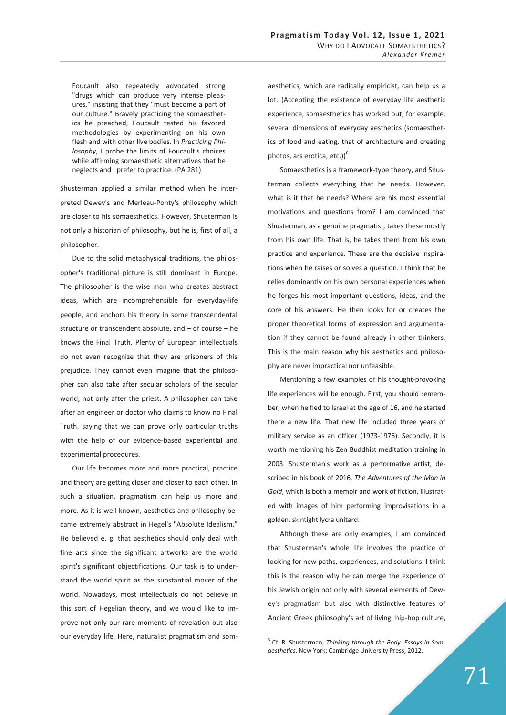Foucault also repeatedly advocated strong "drugs which can produce very intense pleasures," insisting that they "must become a part of our culture." Bravely practicing the somaesthetics he preached, Foucault tested his favored methodologies by experimenting on his own flesh and with other live bodies. In *Practicing Philosophy*, I probe the limits of Foucault's choices while affirming somaesthetic alternatives that he neglects and I prefer to practice. (PA 281)

Shusterman applied a similar method when he interpreted Dewey's and Merleau-Ponty's philosophy which are closer to his somaesthetics. However, Shusterman is not only a historian of philosophy, but he is, first of all, a philosopher.

Due to the solid metaphysical traditions, the philosopher's traditional picture is still dominant in Europe. The philosopher is the wise man who creates abstract ideas, which are incomprehensible for everyday-life people, and anchors his theory in some transcendental structure or transcendent absolute, and – of course – he knows the Final Truth. Plenty of European intellectuals do not even recognize that they are prisoners of this prejudice. They cannot even imagine that the philosopher can also take after secular scholars of the secular world, not only after the priest. A philosopher can take after an engineer or doctor who claims to know no Final Truth, saying that we can prove only particular truths with the help of our evidence-based experiential and experimental procedures.

Our life becomes more and more practical, practice and theory are getting closer and closer to each other. In such a situation, pragmatism can help us more and more. As it is well-known, aesthetics and philosophy became extremely abstract in Hegel's "Absolute Idealism." He believed e. g. that aesthetics should only deal with fine arts since the significant artworks are the world spirit's significant objectifications. Our task is to understand the world spirit as the substantial mover of the world. Nowadays, most intellectuals do not believe in this sort of Hegelian theory, and we would like to improve not only our rare moments of revelation but also our everyday life. Here, naturalist pragmatism and somaesthetics, which are radically empiricist, can help us a lot. (Accepting the existence of everyday life aesthetic experience, somaesthetics has worked out, for example, several dimensions of everyday aesthetics (somaesthetics of food and eating, that of architecture and creating photos, ars erotica, etc.))<sup>6</sup>

Somaesthetics is a framework-type theory, and Shusterman collects everything that he needs. However, what is it that he needs? Where are his most essential motivations and questions from? I am convinced that Shusterman, as a genuine pragmatist, takes these mostly from his own life. That is, he takes them from his own practice and experience. These are the decisive inspirations when he raises or solves a question. I think that he relies dominantly on his own personal experiences when he forges his most important questions, ideas, and the core of his answers. He then looks for or creates the proper theoretical forms of expression and argumentation if they cannot be found already in other thinkers. This is the main reason why his aesthetics and philosophy are never impractical nor unfeasible.

Mentioning a few examples of his thought-provoking life experiences will be enough. First, you should remember, when he fled to Israel at the age of 16, and he started there a new life. That new life included three years of military service as an officer (1973-1976). Secondly, it is worth mentioning his Zen Buddhist meditation training in 2003. Shusterman's work as a performative artist, described in his book of 2016, *The Adventures of the Man in Gold*, which is both a memoir and work of fiction, illustrated with images of him performing improvisations in a golden, skintight lycra unitard.

Although these are only examples, I am convinced that Shusterman's whole life involves the practice of looking for new paths, experiences, and solutions. I think this is the reason why he can merge the experience of his Jewish origin not only with several elements of Dewey's pragmatism but also with distinctive features of Ancient Greek philosophy's art of living, hip-hop culture,

-

<sup>6</sup> Cf. R. Shusterman, *Thinking through the Body: Essays in Somaesthetics*. New York: Cambridge University Press, 2012.